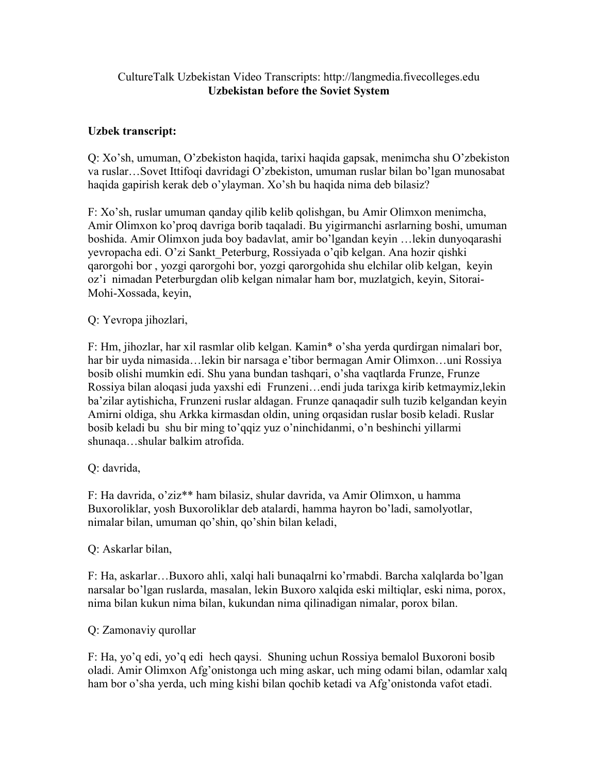## CultureTalk Uzbekistan Video Transcripts: http://langmedia.fivecolleges.edu Uzbekistan before the Soviet System

# Uzbek transcript:

Q: Xo'sh, umuman, O'zbekiston haqida, tarixi haqida gapsak, menimcha shu O'zbekiston va ruslar…Sovet Ittifoqi davridagi O'zbekiston, umuman ruslar bilan bo'lgan munosabat haqida gapirish kerak deb o'ylayman. Xo'sh bu haqida nima deb bilasiz?

F: Xo'sh, ruslar umuman qanday qilib kelib qolishgan, bu Amir Olimxon menimcha, Amir Olimxon ko'proq davriga borib taqaladi. Bu yigirmanchi asrlarning boshi, umuman boshida. Amir Olimxon juda boy badavlat, amir bo'lgandan keyin …lekin dunyoqarashi yevropacha edi. O'zi Sankt\_Peterburg, Rossiyada o'qib kelgan. Ana hozir qishki qarorgohi bor , yozgi qarorgohi bor, yozgi qarorgohida shu elchilar olib kelgan, keyin oz'i nimadan Peterburgdan olib kelgan nimalar ham bor, muzlatgich, keyin, Sitorai-Mohi-Xossada, keyin,

### Q: Yevropa jihozlari,

F: Hm, jihozlar, har xil rasmlar olib kelgan. Kamin\* o'sha yerda qurdirgan nimalari bor, har bir uyda nimasida…lekin bir narsaga e'tibor bermagan Amir Olimxon…uni Rossiya bosib olishi mumkin edi. Shu yana bundan tashqari, o'sha vaqtlarda Frunze, Frunze Rossiya bilan aloqasi juda yaxshi edi Frunzeni…endi juda tarixga kirib ketmaymiz,lekin ba'zilar aytishicha, Frunzeni ruslar aldagan. Frunze qanaqadir sulh tuzib kelgandan keyin Amirni oldiga, shu Arkka kirmasdan oldin, uning orqasidan ruslar bosib keladi. Ruslar bosib keladi bu shu bir ming to'qqiz yuz o'ninchidanmi, o'n beshinchi yillarmi shunaqa…shular balkim atrofida.

### Q: davrida,

F: Ha davrida, o'ziz\*\* ham bilasiz, shular davrida, va Amir Olimxon, u hamma Buxoroliklar, yosh Buxoroliklar deb atalardi, hamma hayron bo'ladi, samolyotlar, nimalar bilan, umuman qo'shin, qo'shin bilan keladi,

#### Q: Askarlar bilan,

F: Ha, askarlar…Buxoro ahli, xalqi hali bunaqalrni ko'rmabdi. Barcha xalqlarda bo'lgan narsalar bo'lgan ruslarda, masalan, lekin Buxoro xalqida eski miltiqlar, eski nima, porox, nima bilan kukun nima bilan, kukundan nima qilinadigan nimalar, porox bilan.

### Q: Zamonaviy qurollar

F: Ha, yo'q edi, yo'q edi hech qaysi. Shuning uchun Rossiya bemalol Buxoroni bosib oladi. Amir Olimxon Afg'onistonga uch ming askar, uch ming odami bilan, odamlar xalq ham bor o'sha yerda, uch ming kishi bilan qochib ketadi va Afg'onistonda vafot etadi.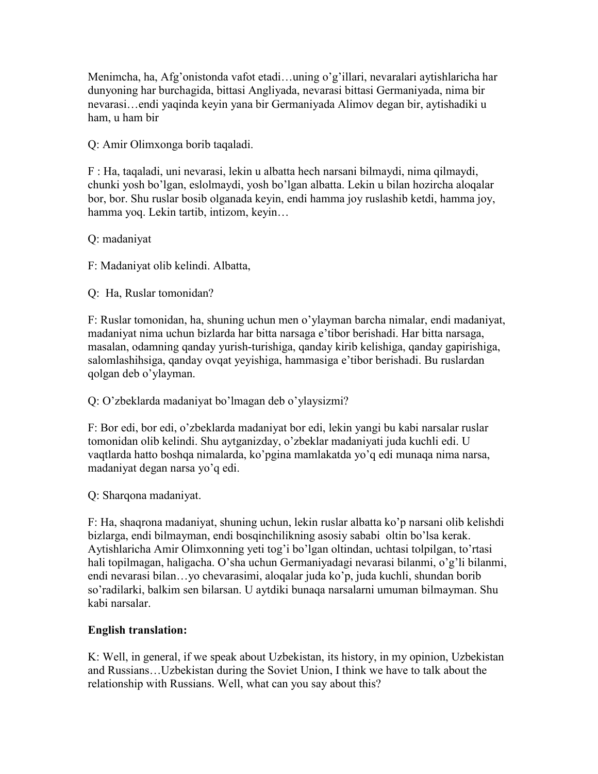Menimcha, ha, Afg'onistonda vafot etadi…uning o'g'illari, nevaralari aytishlaricha har dunyoning har burchagida, bittasi Angliyada, nevarasi bittasi Germaniyada, nima bir nevarasi…endi yaqinda keyin yana bir Germaniyada Alimov degan bir, aytishadiki u ham, u ham bir

Q: Amir Olimxonga borib taqaladi.

F : Ha, taqaladi, uni nevarasi, lekin u albatta hech narsani bilmaydi, nima qilmaydi, chunki yosh bo'lgan, eslolmaydi, yosh bo'lgan albatta. Lekin u bilan hozircha aloqalar bor, bor. Shu ruslar bosib olganada keyin, endi hamma joy ruslashib ketdi, hamma joy, hamma yoq. Lekin tartib, intizom, keyin…

Q: madaniyat

F: Madaniyat olib kelindi. Albatta,

Q: Ha, Ruslar tomonidan?

F: Ruslar tomonidan, ha, shuning uchun men o'ylayman barcha nimalar, endi madaniyat, madaniyat nima uchun bizlarda har bitta narsaga e'tibor berishadi. Har bitta narsaga, masalan, odamning qanday yurish-turishiga, qanday kirib kelishiga, qanday gapirishiga, salomlashihsiga, qanday ovqat yeyishiga, hammasiga e'tibor berishadi. Bu ruslardan qolgan deb o'ylayman.

Q: O'zbeklarda madaniyat bo'lmagan deb o'ylaysizmi?

F: Bor edi, bor edi, o'zbeklarda madaniyat bor edi, lekin yangi bu kabi narsalar ruslar tomonidan olib kelindi. Shu aytganizday, o'zbeklar madaniyati juda kuchli edi. U vaqtlarda hatto boshqa nimalarda, ko'pgina mamlakatda yo'q edi munaqa nima narsa, madaniyat degan narsa yo'q edi.

Q: Sharqona madaniyat.

F: Ha, shaqrona madaniyat, shuning uchun, lekin ruslar albatta ko'p narsani olib kelishdi bizlarga, endi bilmayman, endi bosqinchilikning asosiy sababi oltin bo'lsa kerak. Aytishlaricha Amir Olimxonning yeti tog'i bo'lgan oltindan, uchtasi tolpilgan, to'rtasi hali topilmagan, haligacha. O'sha uchun Germaniyadagi nevarasi bilanmi, o'g'li bilanmi, endi nevarasi bilan…yo chevarasimi, aloqalar juda ko'p, juda kuchli, shundan borib so'radilarki, balkim sen bilarsan. U aytdiki bunaqa narsalarni umuman bilmayman. Shu kabi narsalar.

### English translation:

K: Well, in general, if we speak about Uzbekistan, its history, in my opinion, Uzbekistan and Russians…Uzbekistan during the Soviet Union, I think we have to talk about the relationship with Russians. Well, what can you say about this?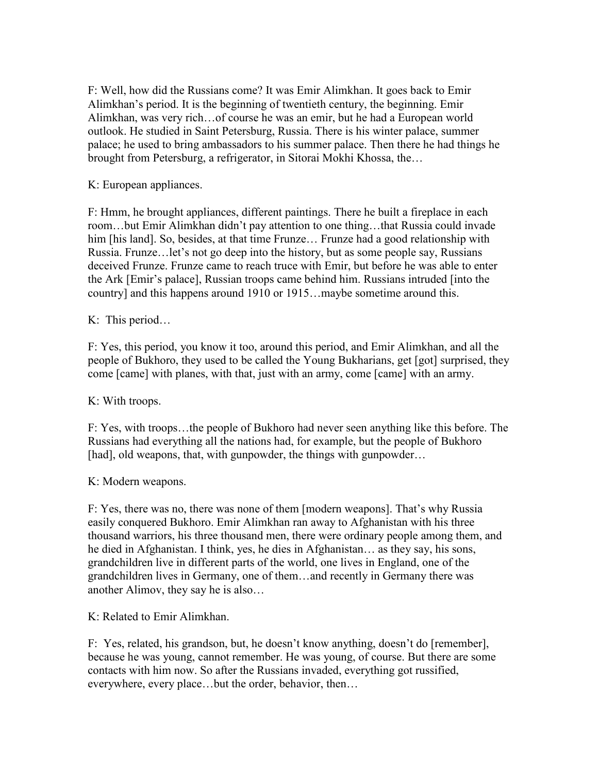F: Well, how did the Russians come? It was Emir Alimkhan. It goes back to Emir Alimkhan's period. It is the beginning of twentieth century, the beginning. Emir Alimkhan, was very rich…of course he was an emir, but he had a European world outlook. He studied in Saint Petersburg, Russia. There is his winter palace, summer palace; he used to bring ambassadors to his summer palace. Then there he had things he brought from Petersburg, a refrigerator, in Sitorai Mokhi Khossa, the…

K: European appliances.

F: Hmm, he brought appliances, different paintings. There he built a fireplace in each room…but Emir Alimkhan didn't pay attention to one thing…that Russia could invade him [his land]. So, besides, at that time Frunze... Frunze had a good relationship with Russia. Frunze…let's not go deep into the history, but as some people say, Russians deceived Frunze. Frunze came to reach truce with Emir, but before he was able to enter the Ark [Emir's palace], Russian troops came behind him. Russians intruded [into the country] and this happens around 1910 or 1915…maybe sometime around this.

### K: This period…

F: Yes, this period, you know it too, around this period, and Emir Alimkhan, and all the people of Bukhoro, they used to be called the Young Bukharians, get [got] surprised, they come [came] with planes, with that, just with an army, come [came] with an army.

### K: With troops.

F: Yes, with troops…the people of Bukhoro had never seen anything like this before. The Russians had everything all the nations had, for example, but the people of Bukhoro [had], old weapons, that, with gunpowder, the things with gunpowder...

### K: Modern weapons.

F: Yes, there was no, there was none of them [modern weapons]. That's why Russia easily conquered Bukhoro. Emir Alimkhan ran away to Afghanistan with his three thousand warriors, his three thousand men, there were ordinary people among them, and he died in Afghanistan. I think, yes, he dies in Afghanistan… as they say, his sons, grandchildren live in different parts of the world, one lives in England, one of the grandchildren lives in Germany, one of them…and recently in Germany there was another Alimov, they say he is also…

K: Related to Emir Alimkhan.

F: Yes, related, his grandson, but, he doesn't know anything, doesn't do [remember], because he was young, cannot remember. He was young, of course. But there are some contacts with him now. So after the Russians invaded, everything got russified, everywhere, every place…but the order, behavior, then…